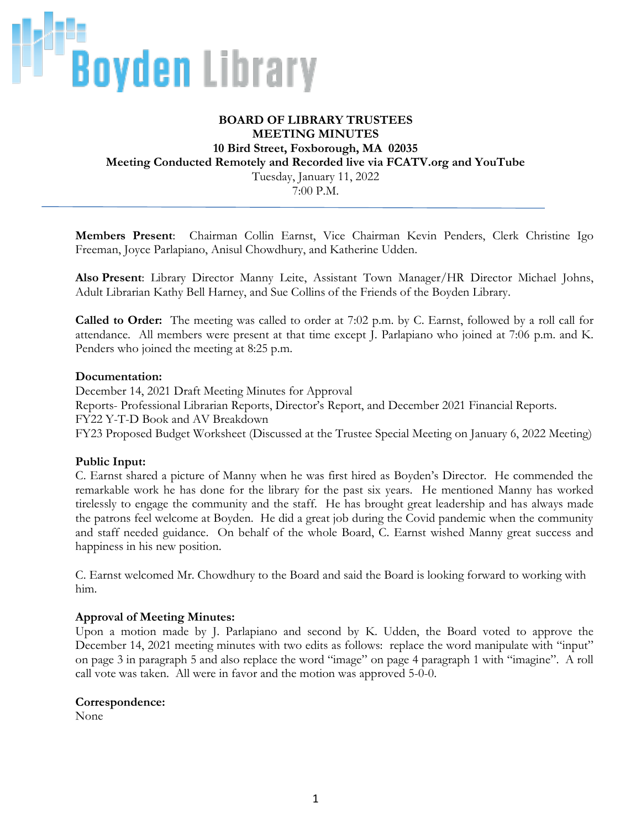

## **BOARD OF LIBRARY TRUSTEES MEETING MINUTES 10 Bird Street, Foxborough, MA 02035 Meeting Conducted Remotely and Recorded live via FCATV.org and YouTube** Tuesday, January 11, 2022 7:00 P.M.

**Members Present**: Chairman Collin Earnst, Vice Chairman Kevin Penders, Clerk Christine Igo Freeman, Joyce Parlapiano, Anisul Chowdhury, and Katherine Udden.

**Also Present**: Library Director Manny Leite, Assistant Town Manager/HR Director Michael Johns, Adult Librarian Kathy Bell Harney, and Sue Collins of the Friends of the Boyden Library.

**Called to Order:** The meeting was called to order at 7:02 p.m. by C. Earnst, followed by a roll call for attendance. All members were present at that time except J. Parlapiano who joined at 7:06 p.m. and K. Penders who joined the meeting at 8:25 p.m.

#### **Documentation:**

December 14, 2021 Draft Meeting Minutes for Approval Reports- Professional Librarian Reports, Director's Report, and December 2021 Financial Reports. FY22 Y-T-D Book and AV Breakdown FY23 Proposed Budget Worksheet (Discussed at the Trustee Special Meeting on January 6, 2022 Meeting)

### **Public Input:**

C. Earnst shared a picture of Manny when he was first hired as Boyden's Director. He commended the remarkable work he has done for the library for the past six years. He mentioned Manny has worked tirelessly to engage the community and the staff. He has brought great leadership and has always made the patrons feel welcome at Boyden. He did a great job during the Covid pandemic when the community and staff needed guidance. On behalf of the whole Board, C. Earnst wished Manny great success and happiness in his new position.

C. Earnst welcomed Mr. Chowdhury to the Board and said the Board is looking forward to working with him.

### **Approval of Meeting Minutes:**

Upon a motion made by J. Parlapiano and second by K. Udden, the Board voted to approve the December 14, 2021 meeting minutes with two edits as follows: replace the word manipulate with "input" on page 3 in paragraph 5 and also replace the word "image" on page 4 paragraph 1 with "imagine". A roll call vote was taken. All were in favor and the motion was approved 5-0-0.

#### **Correspondence:**

None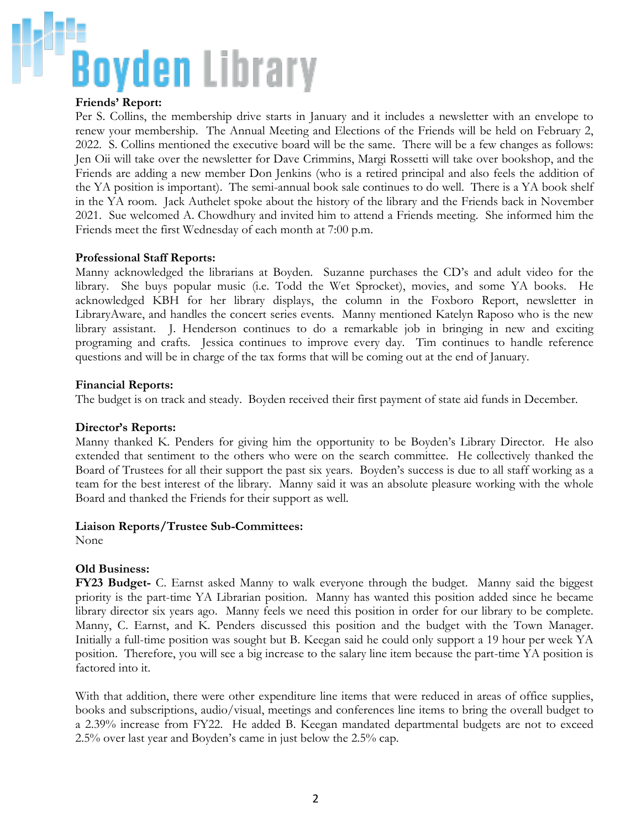## **Boyden** Library

## **Friends' Report:**

Per S. Collins, the membership drive starts in January and it includes a newsletter with an envelope to renew your membership. The Annual Meeting and Elections of the Friends will be held on February 2, 2022. S. Collins mentioned the executive board will be the same. There will be a few changes as follows: Jen Oii will take over the newsletter for Dave Crimmins, Margi Rossetti will take over bookshop, and the Friends are adding a new member Don Jenkins (who is a retired principal and also feels the addition of the YA position is important). The semi-annual book sale continues to do well. There is a YA book shelf in the YA room. Jack Authelet spoke about the history of the library and the Friends back in November 2021. Sue welcomed A. Chowdhury and invited him to attend a Friends meeting. She informed him the Friends meet the first Wednesday of each month at 7:00 p.m.

### **Professional Staff Reports:**

Manny acknowledged the librarians at Boyden. Suzanne purchases the CD's and adult video for the library. She buys popular music (i.e. Todd the Wet Sprocket), movies, and some YA books. He acknowledged KBH for her library displays, the column in the Foxboro Report, newsletter in LibraryAware, and handles the concert series events. Manny mentioned Katelyn Raposo who is the new library assistant. J. Henderson continues to do a remarkable job in bringing in new and exciting programing and crafts. Jessica continues to improve every day. Tim continues to handle reference questions and will be in charge of the tax forms that will be coming out at the end of January.

#### **Financial Reports:**

The budget is on track and steady. Boyden received their first payment of state aid funds in December.

### **Director's Reports:**

Manny thanked K. Penders for giving him the opportunity to be Boyden's Library Director. He also extended that sentiment to the others who were on the search committee. He collectively thanked the Board of Trustees for all their support the past six years. Boyden's success is due to all staff working as a team for the best interest of the library. Manny said it was an absolute pleasure working with the whole Board and thanked the Friends for their support as well.

#### **Liaison Reports/Trustee Sub-Committees:**

None

### **Old Business:**

**FY23 Budget-** C. Earnst asked Manny to walk everyone through the budget. Manny said the biggest priority is the part-time YA Librarian position. Manny has wanted this position added since he became library director six years ago. Manny feels we need this position in order for our library to be complete. Manny, C. Earnst, and K. Penders discussed this position and the budget with the Town Manager. Initially a full-time position was sought but B. Keegan said he could only support a 19 hour per week YA position. Therefore, you will see a big increase to the salary line item because the part-time YA position is factored into it.

With that addition, there were other expenditure line items that were reduced in areas of office supplies, books and subscriptions, audio/visual, meetings and conferences line items to bring the overall budget to a 2.39% increase from FY22. He added B. Keegan mandated departmental budgets are not to exceed 2.5% over last year and Boyden's came in just below the 2.5% cap.